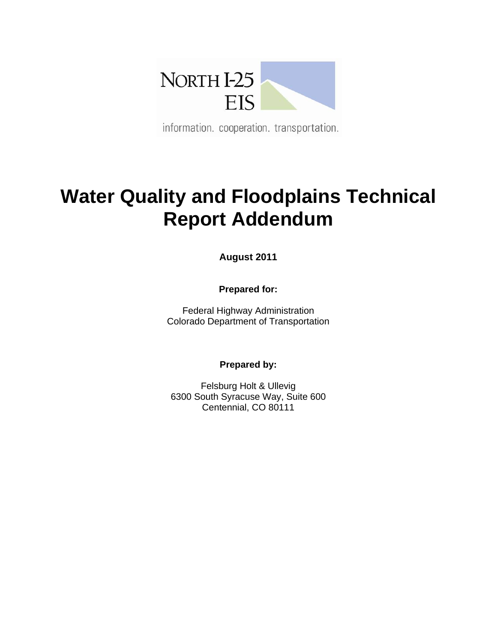

# **Water Quality and Floodplains Technical Report Addendum**

**August 2011** 

**Prepared for:** 

Federal Highway Administration Colorado Department of Transportation

**Prepared by:** 

Felsburg Holt & Ullevig 6300 South Syracuse Way, Suite 600 Centennial, CO 80111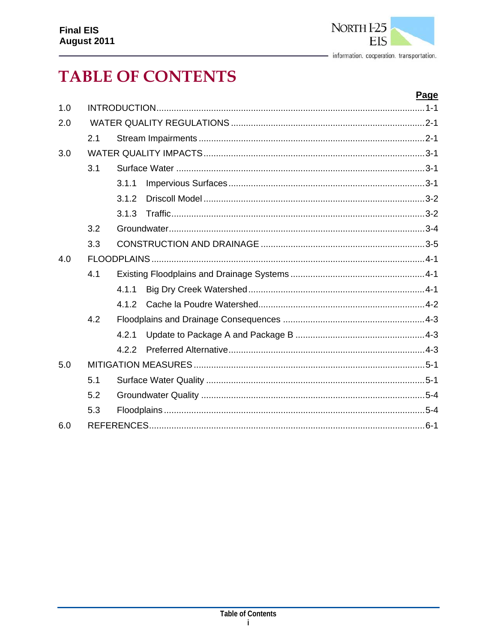

# **TABLE OF CONTENTS**

|     |     |       |  | Page |  |  |  |
|-----|-----|-------|--|------|--|--|--|
| 1.0 |     |       |  |      |  |  |  |
| 2.0 |     |       |  |      |  |  |  |
|     | 2.1 |       |  |      |  |  |  |
| 3.0 |     |       |  |      |  |  |  |
|     | 3.1 |       |  |      |  |  |  |
|     |     | 3.1.1 |  |      |  |  |  |
|     |     | 3.1.2 |  |      |  |  |  |
|     |     | 3.1.3 |  |      |  |  |  |
|     | 3.2 |       |  |      |  |  |  |
|     | 3.3 |       |  |      |  |  |  |
| 4.0 |     |       |  |      |  |  |  |
|     | 4.1 |       |  |      |  |  |  |
|     |     | 4.1.1 |  |      |  |  |  |
|     |     | 4.1.2 |  |      |  |  |  |
|     | 4.2 |       |  |      |  |  |  |
|     |     | 4.2.1 |  |      |  |  |  |
|     |     | 4.2.2 |  |      |  |  |  |
| 5.0 |     |       |  |      |  |  |  |
|     | 5.1 |       |  |      |  |  |  |
|     | 5.2 |       |  |      |  |  |  |
|     | 5.3 |       |  |      |  |  |  |
| 6.0 |     |       |  |      |  |  |  |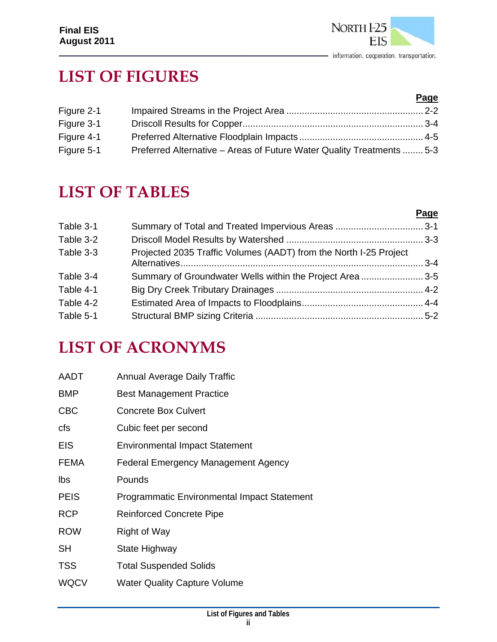

# **LIST OF FIGURES**

| Figure 2-1 |                                                                       |  |
|------------|-----------------------------------------------------------------------|--|
| Figure 3-1 |                                                                       |  |
| Figure 4-1 |                                                                       |  |
| Figure 5-1 | Preferred Alternative – Areas of Future Water Quality Treatments  5-3 |  |

# **LIST OF TABLES**

#### **Page**

**Page**

| Summary of Groundwater Wells within the Project Area3-5 |
|---------------------------------------------------------|
|                                                         |
|                                                         |
|                                                         |
|                                                         |

# **LIST OF ACRONYMS**

| AADT        | <b>Annual Average Daily Traffic</b>                |
|-------------|----------------------------------------------------|
| <b>BMP</b>  | <b>Best Management Practice</b>                    |
| <b>CBC</b>  | <b>Concrete Box Culvert</b>                        |
| cfs         | Cubic feet per second                              |
| <b>EIS</b>  | <b>Environmental Impact Statement</b>              |
| <b>FEMA</b> | Federal Emergency Management Agency                |
| Ibs         | Pounds                                             |
| <b>PEIS</b> | <b>Programmatic Environmental Impact Statement</b> |
| <b>RCP</b>  | <b>Reinforced Concrete Pipe</b>                    |
| <b>ROW</b>  | <b>Right of Way</b>                                |
| SH          | State Highway                                      |
| <b>TSS</b>  | <b>Total Suspended Solids</b>                      |
| <b>WQCV</b> | <b>Water Quality Capture Volume</b>                |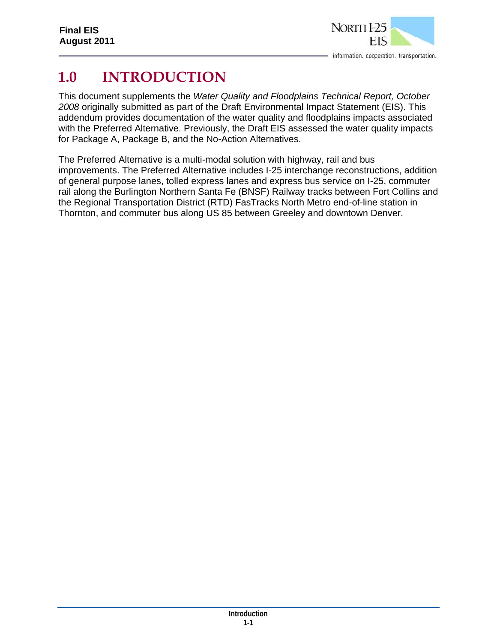

## **1.0 INTRODUCTION**

This document supplements the *Water Quality and Floodplains Technical Report, October 2008* originally submitted as part of the Draft Environmental Impact Statement (EIS). This addendum provides documentation of the water quality and floodplains impacts associated with the Preferred Alternative. Previously, the Draft EIS assessed the water quality impacts for Package A, Package B, and the No-Action Alternatives.

The Preferred Alternative is a multi-modal solution with highway, rail and bus improvements. The Preferred Alternative includes I-25 interchange reconstructions, addition of general purpose lanes, tolled express lanes and express bus service on I-25, commuter rail along the Burlington Northern Santa Fe (BNSF) Railway tracks between Fort Collins and the Regional Transportation District (RTD) FasTracks North Metro end-of-line station in Thornton, and commuter bus along US 85 between Greeley and downtown Denver.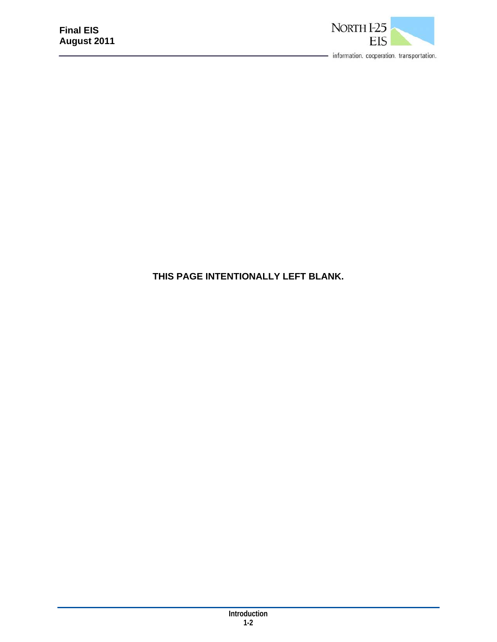

## **THIS PAGE INTENTIONALLY LEFT BLANK.**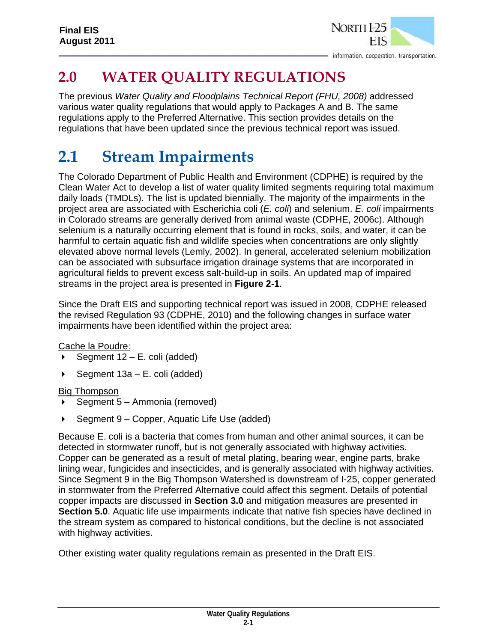

## **2.0 WATER QUALITY REGULATIONS**

The previous *Water Quality and Floodplains Technical Report (FHU, 2008)* addressed various water quality regulations that would apply to Packages A and B. The same regulations apply to the Preferred Alternative. This section provides details on the regulations that have been updated since the previous technical report was issued.

# **2.1 Stream Impairments**

The Colorado Department of Public Health and Environment (CDPHE) is required by the Clean Water Act to develop a list of water quality limited segments requiring total maximum daily loads (TMDLs). The list is updated biennially. The majority of the impairments in the project area are associated with Escherichia coli (*E. coli*) and selenium. *E. coli* impairments in Colorado streams are generally derived from animal waste (CDPHE, 2006c). Although selenium is a naturally occurring element that is found in rocks, soils, and water, it can be harmful to certain aquatic fish and wildlife species when concentrations are only slightly elevated above normal levels (Lemly, 2002). In general, accelerated selenium mobilization can be associated with subsurface irrigation drainage systems that are incorporated in agricultural fields to prevent excess salt-build-up in soils. An updated map of impaired streams in the project area is presented in **Figure 2-1**.

Since the Draft EIS and supporting technical report was issued in 2008, CDPHE released the revised Regulation 93 (CDPHE, 2010) and the following changes in surface water impairments have been identified within the project area:

#### Cache la Poudre:

- Segment 12 E. coli (added)
- $\triangleright$  Segment 13a E. coli (added)

#### Big Thompson

- Segment 5 Ammonia (removed)
- $\triangleright$  Segment 9 Copper, Aquatic Life Use (added)

Because E. coli is a bacteria that comes from human and other animal sources, it can be detected in stormwater runoff, but is not generally associated with highway activities. Copper can be generated as a result of metal plating, bearing wear, engine parts, brake lining wear, fungicides and insecticides, and is generally associated with highway activities. Since Segment 9 in the Big Thompson Watershed is downstream of I-25, copper generated in stormwater from the Preferred Alternative could affect this segment. Details of potential copper impacts are discussed in **Section 3.0** and mitigation measures are presented in **Section 5.0**. Aquatic life use impairments indicate that native fish species have declined in the stream system as compared to historical conditions, but the decline is not associated with highway activities.

Other existing water quality regulations remain as presented in the Draft EIS.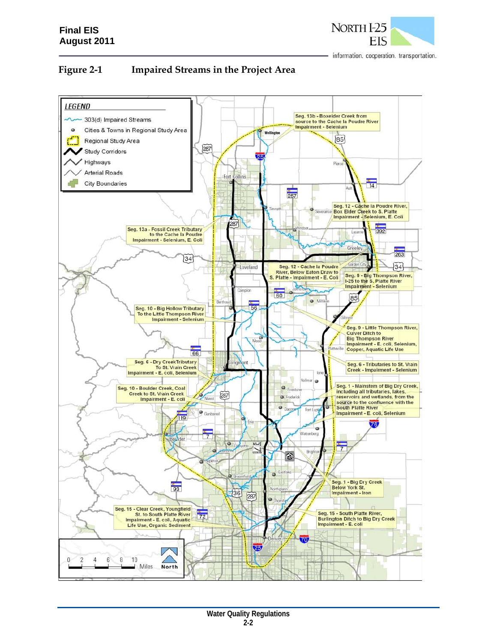

### **Figure 2-1 Impaired Streams in the Project Area**

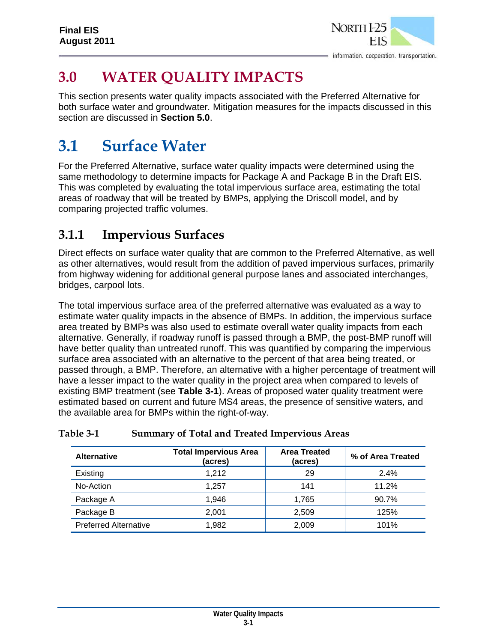

## **3.0 WATER QUALITY IMPACTS**

This section presents water quality impacts associated with the Preferred Alternative for both surface water and groundwater*.* Mitigation measures for the impacts discussed in this section are discussed in **Section 5.0**.

# **3.1 Surface Water**

For the Preferred Alternative, surface water quality impacts were determined using the same methodology to determine impacts for Package A and Package B in the Draft EIS. This was completed by evaluating the total impervious surface area, estimating the total areas of roadway that will be treated by BMPs, applying the Driscoll model, and by comparing projected traffic volumes.

## **3.1.1 Impervious Surfaces**

Direct effects on surface water quality that are common to the Preferred Alternative, as well as other alternatives, would result from the addition of paved impervious surfaces, primarily from highway widening for additional general purpose lanes and associated interchanges, bridges, carpool lots.

The total impervious surface area of the preferred alternative was evaluated as a way to estimate water quality impacts in the absence of BMPs. In addition, the impervious surface area treated by BMPs was also used to estimate overall water quality impacts from each alternative. Generally, if roadway runoff is passed through a BMP, the post-BMP runoff will have better quality than untreated runoff. This was quantified by comparing the impervious surface area associated with an alternative to the percent of that area being treated, or passed through, a BMP. Therefore, an alternative with a higher percentage of treatment will have a lesser impact to the water quality in the project area when compared to levels of existing BMP treatment (see **Table 3-1**). Areas of proposed water quality treatment were estimated based on current and future MS4 areas, the presence of sensitive waters, and the available area for BMPs within the right-of-way.

| <b>Alternative</b>           | <b>Total Impervious Area</b><br>(acres) | <b>Area Treated</b><br>(acres) | % of Area Treated |  |
|------------------------------|-----------------------------------------|--------------------------------|-------------------|--|
| Existing                     | 1.212                                   | 29                             | 2.4%              |  |
| No-Action                    | 1.257                                   | 141                            | 11.2%             |  |
| Package A                    | 1.946                                   | 1,765                          | 90.7%             |  |
| Package B                    | 2.001                                   | 2,509                          | 125%              |  |
| <b>Preferred Alternative</b> | 1.982                                   | 2.009                          | 101%              |  |

#### **Table 3-1 Summary of Total and Treated Impervious Areas**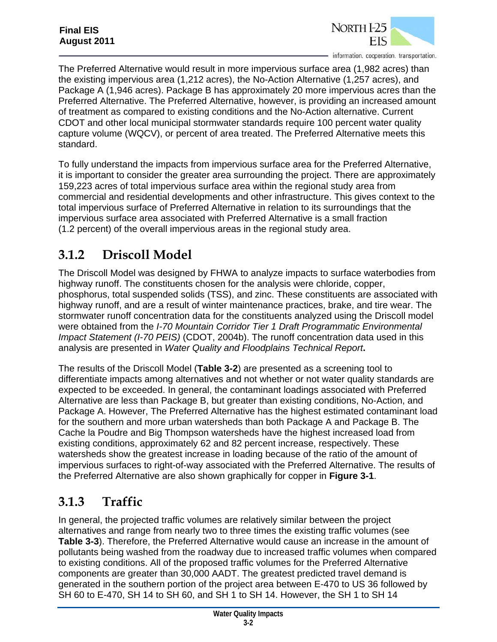

The Preferred Alternative would result in more impervious surface area (1,982 acres) than the existing impervious area (1,212 acres), the No-Action Alternative (1,257 acres), and Package A (1,946 acres). Package B has approximately 20 more impervious acres than the Preferred Alternative. The Preferred Alternative, however, is providing an increased amount of treatment as compared to existing conditions and the No-Action alternative. Current CDOT and other local municipal stormwater standards require 100 percent water quality capture volume (WQCV), or percent of area treated. The Preferred Alternative meets this standard.

To fully understand the impacts from impervious surface area for the Preferred Alternative, it is important to consider the greater area surrounding the project. There are approximately 159,223 acres of total impervious surface area within the regional study area from commercial and residential developments and other infrastructure. This gives context to the total impervious surface of Preferred Alternative in relation to its surroundings that the impervious surface area associated with Preferred Alternative is a small fraction (1.2 percent) of the overall impervious areas in the regional study area.

## **3.1.2 Driscoll Model**

The Driscoll Model was designed by FHWA to analyze impacts to surface waterbodies from highway runoff. The constituents chosen for the analysis were chloride, copper, phosphorus, total suspended solids (TSS), and zinc. These constituents are associated with highway runoff, and are a result of winter maintenance practices, brake, and tire wear. The stormwater runoff concentration data for the constituents analyzed using the Driscoll model were obtained from the *I-70 Mountain Corridor Tier 1 Draft Programmatic Environmental Impact Statement (I-70 PEIS)* (CDOT, 2004b). The runoff concentration data used in this analysis are presented in *Water Quality and Floodplains Technical Report***.**

The results of the Driscoll Model (**Table 3-2**) are presented as a screening tool to differentiate impacts among alternatives and not whether or not water quality standards are expected to be exceeded. In general, the contaminant loadings associated with Preferred Alternative are less than Package B, but greater than existing conditions, No-Action, and Package A. However, The Preferred Alternative has the highest estimated contaminant load for the southern and more urban watersheds than both Package A and Package B. The Cache la Poudre and Big Thompson watersheds have the highest increased load from existing conditions, approximately 62 and 82 percent increase, respectively. These watersheds show the greatest increase in loading because of the ratio of the amount of impervious surfaces to right-of-way associated with the Preferred Alternative. The results of the Preferred Alternative are also shown graphically for copper in **Figure 3-1**.

## **3.1.3 Traffic**

In general, the projected traffic volumes are relatively similar between the project alternatives and range from nearly two to three times the existing traffic volumes (see **Table 3-3**). Therefore, the Preferred Alternative would cause an increase in the amount of pollutants being washed from the roadway due to increased traffic volumes when compared to existing conditions. All of the proposed traffic volumes for the Preferred Alternative components are greater than 30,000 AADT. The greatest predicted travel demand is generated in the southern portion of the project area between E-470 to US 36 followed by SH 60 to E-470, SH 14 to SH 60, and SH 1 to SH 14. However, the SH 1 to SH 14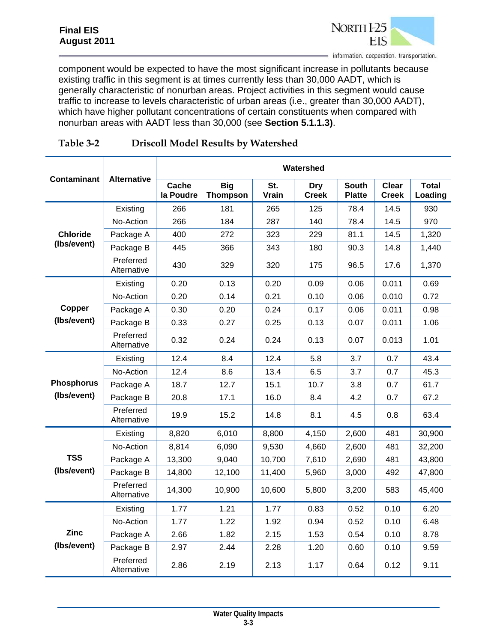

component would be expected to have the most significant increase in pollutants because existing traffic in this segment is at times currently less than 30,000 AADT, which is generally characteristic of nonurban areas. Project activities in this segment would cause traffic to increase to levels characteristic of urban areas (i.e., greater than 30,000 AADT), which have higher pollutant concentrations of certain constituents when compared with nonurban areas with AADT less than 30,000 (see **Section 5.1.1.3)**.

|                    |                          | Watershed          |                               |                     |                            |                               |                              |                         |  |
|--------------------|--------------------------|--------------------|-------------------------------|---------------------|----------------------------|-------------------------------|------------------------------|-------------------------|--|
| <b>Contaminant</b> | <b>Alternative</b>       | Cache<br>la Poudre | <b>Big</b><br><b>Thompson</b> | St.<br><b>Vrain</b> | <b>Dry</b><br><b>Creek</b> | <b>South</b><br><b>Platte</b> | <b>Clear</b><br><b>Creek</b> | <b>Total</b><br>Loading |  |
|                    | Existing                 | 266                | 181                           | 265                 | 125                        | 78.4                          | 14.5                         | 930                     |  |
|                    | No-Action                | 266                | 184                           | 287                 | 140                        | 78.4                          | 14.5                         | 970                     |  |
| <b>Chloride</b>    | Package A                | 400                | 272                           | 323                 | 229                        | 81.1                          | 14.5                         | 1,320                   |  |
| (Ibs/event)        | Package B                | 445                | 366                           | 343                 | 180                        | 90.3                          | 14.8                         | 1,440                   |  |
|                    | Preferred<br>Alternative | 430                | 329                           | 320                 | 175                        | 96.5                          | 17.6                         | 1,370                   |  |
|                    | Existing                 | 0.20               | 0.13                          | 0.20                | 0.09                       | 0.06                          | 0.011                        | 0.69                    |  |
|                    | No-Action                | 0.20               | 0.14                          | 0.21                | 0.10                       | 0.06                          | 0.010                        | 0.72                    |  |
| Copper             | Package A                | 0.30               | 0.20                          | 0.24                | 0.17                       | 0.06                          | 0.011                        | 0.98                    |  |
| (Ibs/event)        | Package B                | 0.33               | 0.27                          | 0.25                | 0.13                       | 0.07                          | 0.011                        | 1.06                    |  |
|                    | Preferred<br>Alternative | 0.32               | 0.24                          | 0.24                | 0.13                       | 0.07                          | 0.013                        | 1.01                    |  |
|                    | Existing                 | 12.4               | 8.4                           | 12.4                | 5.8                        | 3.7                           | 0.7                          | 43.4                    |  |
|                    | No-Action                | 12.4               | 8.6                           | 13.4                | 6.5                        | 3.7                           | 0.7                          | 45.3                    |  |
| <b>Phosphorus</b>  | Package A                | 18.7               | 12.7                          | 15.1                | 10.7                       | 3.8                           | 0.7                          | 61.7                    |  |
| (Ibs/event)        | Package B                | 20.8               | 17.1                          | 16.0                | 8.4                        | 4.2                           | 0.7                          | 67.2                    |  |
|                    | Preferred<br>Alternative | 19.9               | 15.2                          | 14.8                | 8.1                        | 4.5                           | 0.8                          | 63.4                    |  |
|                    | Existing                 | 8,820              | 6,010                         | 8,800               | 4,150                      | 2,600                         | 481                          | 30,900                  |  |
|                    | No-Action                | 8,814              | 6,090                         | 9,530               | 4,660                      | 2,600                         | 481                          | 32,200                  |  |
| <b>TSS</b>         | Package A                | 13,300             | 9,040                         | 10.700              | 7,610                      | 2,690                         | 481                          | 43,800                  |  |
| (Ibs/event)        | Package B                | 14,800             | 12,100                        | 11,400              | 5,960                      | 3,000                         | 492                          | 47,800                  |  |
|                    | Preferred<br>Alternative | 14,300             | 10,900                        | 10,600              | 5,800                      | 3,200                         | 583                          | 45,400                  |  |
|                    | Existing                 | 1.77               | 1.21                          | 1.77                | 0.83                       | 0.52                          | 0.10                         | 6.20                    |  |
|                    | No-Action                | 1.77               | 1.22                          | 1.92                | 0.94                       | 0.52                          | 0.10                         | 6.48                    |  |
| Zinc               | Package A                | 2.66               | 1.82                          | 2.15                | 1.53                       | 0.54                          | 0.10                         | 8.78                    |  |
| (Ibs/event)        | Package B                | 2.97               | 2.44                          | 2.28                | 1.20                       | 0.60                          | 0.10                         | 9.59                    |  |
|                    | Preferred<br>Alternative | 2.86               | 2.19                          | 2.13                | 1.17                       | 0.64                          | 0.12                         | 9.11                    |  |

#### **Table 3-2 Driscoll Model Results by Watershed**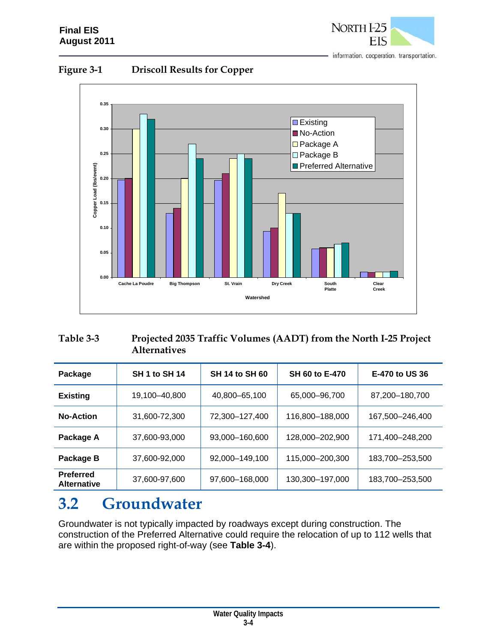





#### **Table 3-3 Projected 2035 Traffic Volumes (AADT) from the North I-25 Project Alternatives**

| Package                                | SH 1 to SH 14 | <b>SH 14 to SH 60</b> | SH 60 to E-470  | E-470 to US 36  |
|----------------------------------------|---------------|-----------------------|-----------------|-----------------|
| <b>Existing</b>                        | 19,100-40,800 | 40,800-65,100         | 65,000-96,700   | 87,200-180,700  |
| <b>No-Action</b>                       | 31,600-72,300 | 72,300-127,400        | 116,800-188,000 | 167,500-246,400 |
| Package A                              | 37,600-93,000 | 93,000-160,600        | 128,000-202,900 | 171,400-248,200 |
| Package B                              | 37,600-92,000 | 92,000-149,100        | 115,000-200,300 | 183,700-253,500 |
| <b>Preferred</b><br><b>Alternative</b> | 37,600-97,600 | 97,600-168,000        | 130,300-197,000 | 183,700-253,500 |

# **3.2 Groundwater**

Groundwater is not typically impacted by roadways except during construction. The construction of the Preferred Alternative could require the relocation of up to 112 wells that are within the proposed right-of-way (see **Table 3-4**).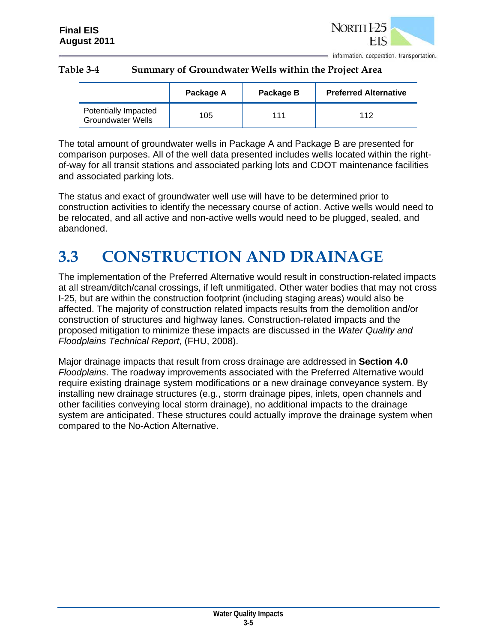

## **Table 3-4 Summary of Groundwater Wells within the Project Area**

|                                                  | Package A | Package B | <b>Preferred Alternative</b> |
|--------------------------------------------------|-----------|-----------|------------------------------|
| Potentially Impacted<br><b>Groundwater Wells</b> | 105       | 111       | 112                          |

The total amount of groundwater wells in Package A and Package B are presented for comparison purposes. All of the well data presented includes wells located within the rightof-way for all transit stations and associated parking lots and CDOT maintenance facilities and associated parking lots.

The status and exact of groundwater well use will have to be determined prior to construction activities to identify the necessary course of action. Active wells would need to be relocated, and all active and non-active wells would need to be plugged, sealed, and abandoned.

# **3.3 CONSTRUCTION AND DRAINAGE**

The implementation of the Preferred Alternative would result in construction-related impacts at all stream/ditch/canal crossings, if left unmitigated. Other water bodies that may not cross I-25, but are within the construction footprint (including staging areas) would also be affected. The majority of construction related impacts results from the demolition and/or construction of structures and highway lanes. Construction-related impacts and the proposed mitigation to minimize these impacts are discussed in the *Water Quality and Floodplains Technical Report*, (FHU, 2008).

Major drainage impacts that result from cross drainage are addressed in **Section 4.0** *Floodplains*. The roadway improvements associated with the Preferred Alternative would require existing drainage system modifications or a new drainage conveyance system. By installing new drainage structures (e.g., storm drainage pipes, inlets, open channels and other facilities conveying local storm drainage), no additional impacts to the drainage system are anticipated. These structures could actually improve the drainage system when compared to the No-Action Alternative.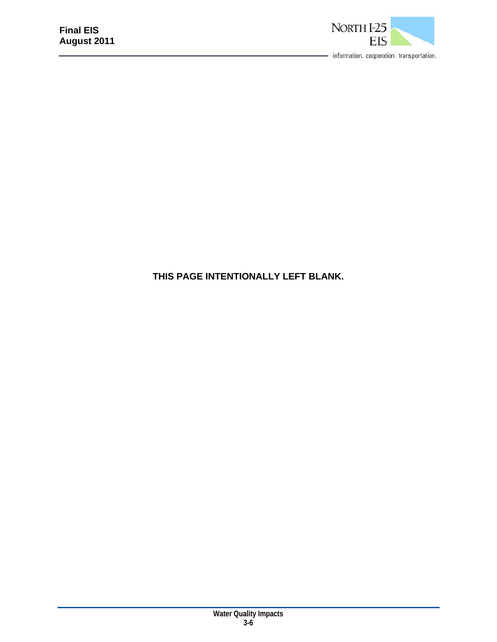

## **THIS PAGE INTENTIONALLY LEFT BLANK.**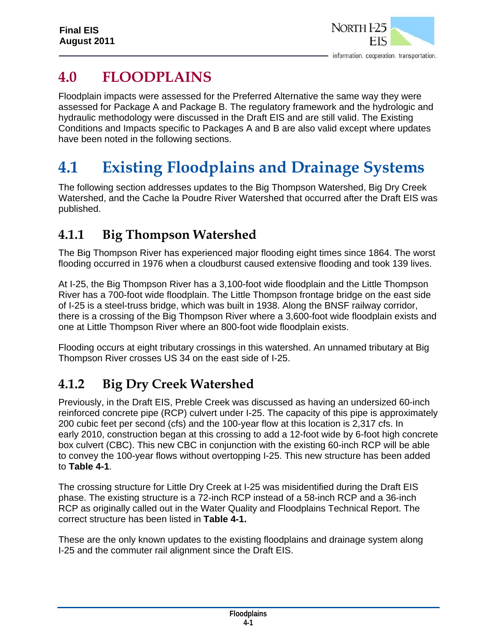

## **4.0 FLOODPLAINS**

Floodplain impacts were assessed for the Preferred Alternative the same way they were assessed for Package A and Package B. The regulatory framework and the hydrologic and hydraulic methodology were discussed in the Draft EIS and are still valid. The Existing Conditions and Impacts specific to Packages A and B are also valid except where updates have been noted in the following sections.

# **4.1 Existing Floodplains and Drainage Systems**

The following section addresses updates to the Big Thompson Watershed, Big Dry Creek Watershed, and the Cache la Poudre River Watershed that occurred after the Draft EIS was published.

## **4.1.1 Big Thompson Watershed**

The Big Thompson River has experienced major flooding eight times since 1864. The worst flooding occurred in 1976 when a cloudburst caused extensive flooding and took 139 lives.

At I-25, the Big Thompson River has a 3,100-foot wide floodplain and the Little Thompson River has a 700-foot wide floodplain. The Little Thompson frontage bridge on the east side of I-25 is a steel-truss bridge, which was built in 1938. Along the BNSF railway corridor, there is a crossing of the Big Thompson River where a 3,600-foot wide floodplain exists and one at Little Thompson River where an 800-foot wide floodplain exists.

Flooding occurs at eight tributary crossings in this watershed. An unnamed tributary at Big Thompson River crosses US 34 on the east side of I-25.

## **4.1.2 Big Dry Creek Watershed**

Previously, in the Draft EIS, Preble Creek was discussed as having an undersized 60-inch reinforced concrete pipe (RCP) culvert under I-25. The capacity of this pipe is approximately 200 cubic feet per second (cfs) and the 100-year flow at this location is 2,317 cfs. In early 2010, construction began at this crossing to add a 12-foot wide by 6-foot high concrete box culvert (CBC). This new CBC in conjunction with the existing 60-inch RCP will be able to convey the 100-year flows without overtopping I-25. This new structure has been added to **Table 4-1**.

The crossing structure for Little Dry Creek at I-25 was misidentified during the Draft EIS phase. The existing structure is a 72-inch RCP instead of a 58-inch RCP and a 36-inch RCP as originally called out in the Water Quality and Floodplains Technical Report. The correct structure has been listed in **Table 4-1.**

These are the only known updates to the existing floodplains and drainage system along I-25 and the commuter rail alignment since the Draft EIS.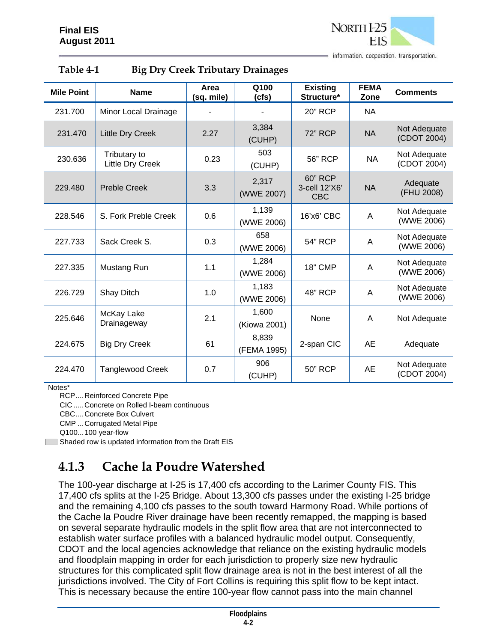

| Table 4-1 | <b>Big Dry Creek Tributary Drainages</b> |  |
|-----------|------------------------------------------|--|
|-----------|------------------------------------------|--|

| <b>Mile Point</b> | <b>Name</b>                      | Area<br>(sq. mile) | Q100<br>(cfs)         | <b>Existing</b><br>Structure*          | <b>FEMA</b><br>Zone | <b>Comments</b>             |
|-------------------|----------------------------------|--------------------|-----------------------|----------------------------------------|---------------------|-----------------------------|
| 231.700           | Minor Local Drainage             |                    |                       | 20" RCP                                | <b>NA</b>           |                             |
| 231.470           | <b>Little Dry Creek</b>          | 2.27               | 3,384<br>(CUHP)       | <b>72" RCP</b>                         | <b>NA</b>           | Not Adequate<br>(CDOT 2004) |
| 230.636           | Tributary to<br>Little Dry Creek | 0.23               | 503<br>(CUHP)         | 56" RCP                                | <b>NA</b>           | Not Adequate<br>(CDOT 2004) |
| 229.480           | <b>Preble Creek</b>              | 3.3                | 2,317<br>(WWE 2007)   | 60" RCP<br>3-cell 12'X6'<br><b>CBC</b> | <b>NA</b>           | Adequate<br>(FHU 2008)      |
| 228.546           | S. Fork Preble Creek             | 0.6                | 1,139<br>(WWE 2006)   | 16'x6' CBC                             | A                   | Not Adequate<br>(WWE 2006)  |
| 227.733           | Sack Creek S.                    | 0.3                | 658<br>(WWE 2006)     | 54" RCP                                | A                   | Not Adequate<br>(WWE 2006)  |
| 227.335           | Mustang Run                      | 1.1                | 1,284<br>(WWE 2006)   | <b>18" CMP</b>                         | A                   | Not Adequate<br>(WWE 2006)  |
| 226.729           | Shay Ditch                       | 1.0                | 1,183<br>(WWE 2006)   | 48" RCP                                | A                   | Not Adequate<br>(WWE 2006)  |
| 225.646           | McKay Lake<br>Drainageway        | 2.1                | 1,600<br>(Kiowa 2001) | None                                   | A                   | Not Adequate                |
| 224.675           | <b>Big Dry Creek</b>             | 61                 | 8,839<br>(FEMA 1995)  | 2-span CIC                             | AE                  | Adequate                    |
| 224.470           | <b>Tanglewood Creek</b>          | 0.7                | 906<br>(CUHP)         | 50" RCP                                | <b>AE</b>           | Not Adequate<br>(CDOT 2004) |

Notes\*

RCP .... Reinforced Concrete Pipe

CIC ..... Concrete on Rolled I-beam continuous

CBC .... Concrete Box Culvert

CMP ... Corrugated Metal Pipe

Q100 ... 100 year-flow

Shaded row is updated information from the Draft EIS

## **4.1.3 Cache la Poudre Watershed**

The 100-year discharge at I-25 is 17,400 cfs according to the Larimer County FIS. This 17,400 cfs splits at the I-25 Bridge. About 13,300 cfs passes under the existing I-25 bridge and the remaining 4,100 cfs passes to the south toward Harmony Road. While portions of the Cache la Poudre River drainage have been recently remapped, the mapping is based on several separate hydraulic models in the split flow area that are not interconnected to establish water surface profiles with a balanced hydraulic model output. Consequently, CDOT and the local agencies acknowledge that reliance on the existing hydraulic models and floodplain mapping in order for each jurisdiction to properly size new hydraulic structures for this complicated split flow drainage area is not in the best interest of all the jurisdictions involved. The City of Fort Collins is requiring this split flow to be kept intact. This is necessary because the entire 100-year flow cannot pass into the main channel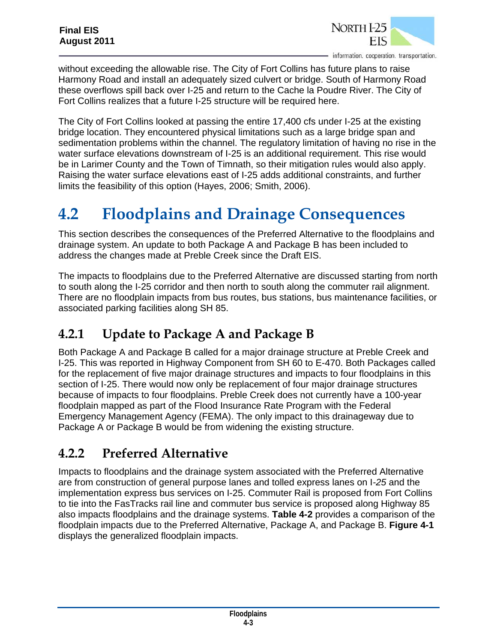

without exceeding the allowable rise. The City of Fort Collins has future plans to raise Harmony Road and install an adequately sized culvert or bridge. South of Harmony Road these overflows spill back over I-25 and return to the Cache la Poudre River. The City of Fort Collins realizes that a future I-25 structure will be required here.

The City of Fort Collins looked at passing the entire 17,400 cfs under I-25 at the existing bridge location. They encountered physical limitations such as a large bridge span and sedimentation problems within the channel. The regulatory limitation of having no rise in the water surface elevations downstream of I-25 is an additional requirement. This rise would be in Larimer County and the Town of Timnath, so their mitigation rules would also apply. Raising the water surface elevations east of I-25 adds additional constraints, and further limits the feasibility of this option (Hayes, 2006; Smith, 2006).

# **4.2 Floodplains and Drainage Consequences**

This section describes the consequences of the Preferred Alternative to the floodplains and drainage system. An update to both Package A and Package B has been included to address the changes made at Preble Creek since the Draft EIS.

The impacts to floodplains due to the Preferred Alternative are discussed starting from north to south along the I-25 corridor and then north to south along the commuter rail alignment. There are no floodplain impacts from bus routes, bus stations, bus maintenance facilities, or associated parking facilities along SH 85.

## **4.2.1 Update to Package A and Package B**

Both Package A and Package B called for a major drainage structure at Preble Creek and I-25. This was reported in Highway Component from SH 60 to E-470. Both Packages called for the replacement of five major drainage structures and impacts to four floodplains in this section of I-25. There would now only be replacement of four major drainage structures because of impacts to four floodplains. Preble Creek does not currently have a 100-year floodplain mapped as part of the Flood Insurance Rate Program with the Federal Emergency Management Agency (FEMA). The only impact to this drainageway due to Package A or Package B would be from widening the existing structure.

## **4.2.2 Preferred Alternative**

Impacts to floodplains and the drainage system associated with the Preferred Alternative are from construction of general purpose lanes and tolled express lanes on I*-25* and the implementation express bus services on I-25. Commuter Rail is proposed from Fort Collins to tie into the FasTracks rail line and commuter bus service is proposed along Highway 85 also impacts floodplains and the drainage systems. **Table 4-2** provides a comparison of the floodplain impacts due to the Preferred Alternative, Package A, and Package B. **Figure 4-1** displays the generalized floodplain impacts.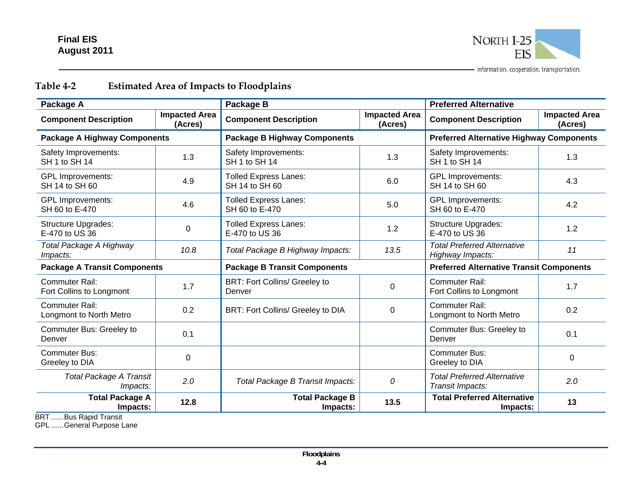

## **Table 4-2 Estimated Area of Impacts to Floodplains**

| Package A                                                       |      | Package B                                      |                                 | <b>Preferred Alternative</b>                           |                                 |  |
|-----------------------------------------------------------------|------|------------------------------------------------|---------------------------------|--------------------------------------------------------|---------------------------------|--|
| <b>Impacted Area</b><br><b>Component Description</b><br>(Acres) |      | <b>Component Description</b>                   | <b>Impacted Area</b><br>(Acres) | <b>Component Description</b>                           | <b>Impacted Area</b><br>(Acres) |  |
| <b>Package A Highway Components</b>                             |      | <b>Package B Highway Components</b>            |                                 | <b>Preferred Alternative Highway Components</b>        |                                 |  |
| Safety Improvements:<br>SH 1 to SH 14                           | 1.3  | Safety Improvements:<br>SH 1 to SH 14          | 1.3                             | Safety Improvements:<br>SH 1 to SH 14                  | 1.3                             |  |
| <b>GPL Improvements:</b><br>SH 14 to SH 60                      | 4.9  | <b>Tolled Express Lanes:</b><br>SH 14 to SH 60 | 6.0                             | <b>GPL Improvements:</b><br>SH 14 to SH 60             | 4.3                             |  |
| <b>GPL Improvements:</b><br>SH 60 to E-470                      | 4.6  | <b>Tolled Express Lanes:</b><br>SH 60 to E-470 | 5.0                             | <b>GPL Improvements:</b><br>SH 60 to E-470             | 4.2                             |  |
| <b>Structure Upgrades:</b><br>E-470 to US 36                    | 0    | <b>Tolled Express Lanes:</b><br>E-470 to US 36 | 1.2                             | <b>Structure Upgrades:</b><br>E-470 to US 36           | 1.2                             |  |
| Total Package A Highway<br><i>Impacts:</i>                      | 10.8 | Total Package B Highway Impacts:               | 13.5                            | <b>Total Preferred Alternative</b><br>Highway Impacts: | 11                              |  |
| <b>Package A Transit Components</b>                             |      | <b>Package B Transit Components</b>            |                                 | <b>Preferred Alternative Transit Components</b>        |                                 |  |
| <b>Commuter Rail:</b><br>Fort Collins to Longmont               | 1.7  | <b>BRT: Fort Collins/ Greeley to</b><br>Denver | 0                               | <b>Commuter Rail:</b><br>Fort Collins to Longmont      | 1.7                             |  |
| <b>Commuter Rail:</b><br>Longmont to North Metro                | 0.2  | BRT: Fort Collins/ Greeley to DIA              | 0                               | Commuter Rail:<br>Longmont to North Metro              | 0.2                             |  |
| Commuter Bus: Greeley to<br>Denver                              | 0.1  |                                                |                                 | Commuter Bus: Greeley to<br>Denver                     | 0.1                             |  |
| <b>Commuter Bus:</b><br>Greeley to DIA                          | 0    |                                                |                                 | <b>Commuter Bus:</b><br>Greeley to DIA                 | $\boldsymbol{0}$                |  |
| <b>Total Package A Transit</b><br>Impacts:                      | 2.0  | Total Package B Transit Impacts:               | 0                               | <b>Total Preferred Alternative</b><br>Transit Impacts: | 2.0                             |  |
| <b>Total Package A</b><br>Impacts:                              | 12.8 | <b>Total Package B</b><br>Impacts:             | 13.5                            | <b>Total Preferred Alternative</b><br>Impacts:         | 13                              |  |

BRT ...... Bus Rapid Transit

GPL ...... General Purpose Lane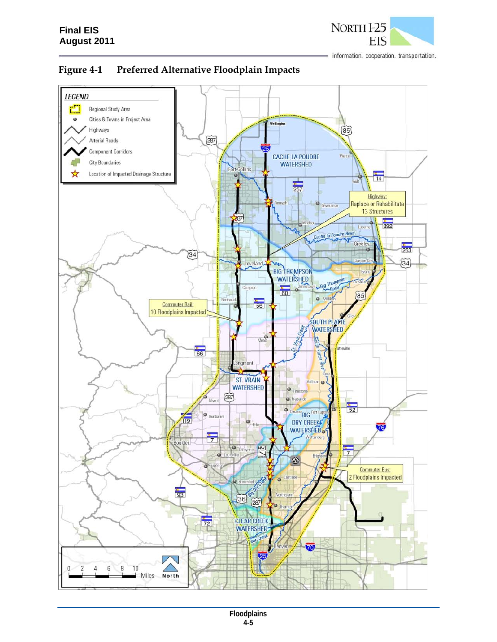

information. cooperation. transportation.



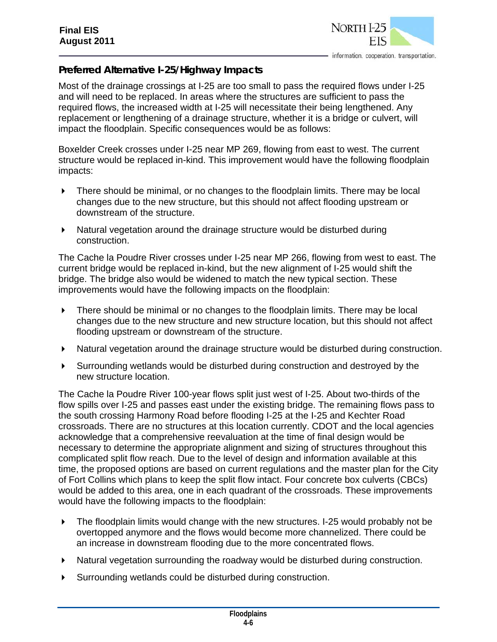

### *Preferred Alternative I-25/Highway Impacts*

Most of the drainage crossings at I-25 are too small to pass the required flows under I-25 and will need to be replaced. In areas where the structures are sufficient to pass the required flows, the increased width at I-25 will necessitate their being lengthened. Any replacement or lengthening of a drainage structure, whether it is a bridge or culvert, will impact the floodplain. Specific consequences would be as follows:

Boxelder Creek crosses under I-25 near MP 269, flowing from east to west. The current structure would be replaced in-kind. This improvement would have the following floodplain impacts:

- There should be minimal, or no changes to the floodplain limits. There may be local changes due to the new structure, but this should not affect flooding upstream or downstream of the structure.
- Natural vegetation around the drainage structure would be disturbed during construction.

The Cache la Poudre River crosses under I-25 near MP 266, flowing from west to east. The current bridge would be replaced in-kind, but the new alignment of I-25 would shift the bridge. The bridge also would be widened to match the new typical section. These improvements would have the following impacts on the floodplain:

- There should be minimal or no changes to the floodplain limits. There may be local changes due to the new structure and new structure location, but this should not affect flooding upstream or downstream of the structure.
- Natural vegetation around the drainage structure would be disturbed during construction.
- Surrounding wetlands would be disturbed during construction and destroyed by the new structure location.

The Cache la Poudre River 100-year flows split just west of I-25. About two-thirds of the flow spills over I-25 and passes east under the existing bridge. The remaining flows pass to the south crossing Harmony Road before flooding I-25 at the I-25 and Kechter Road crossroads. There are no structures at this location currently. CDOT and the local agencies acknowledge that a comprehensive reevaluation at the time of final design would be necessary to determine the appropriate alignment and sizing of structures throughout this complicated split flow reach. Due to the level of design and information available at this time, the proposed options are based on current regulations and the master plan for the City of Fort Collins which plans to keep the split flow intact. Four concrete box culverts (CBCs) would be added to this area, one in each quadrant of the crossroads. These improvements would have the following impacts to the floodplain:

- The floodplain limits would change with the new structures. I-25 would probably not be overtopped anymore and the flows would become more channelized. There could be an increase in downstream flooding due to the more concentrated flows.
- Natural vegetation surrounding the roadway would be disturbed during construction.
- Surrounding wetlands could be disturbed during construction.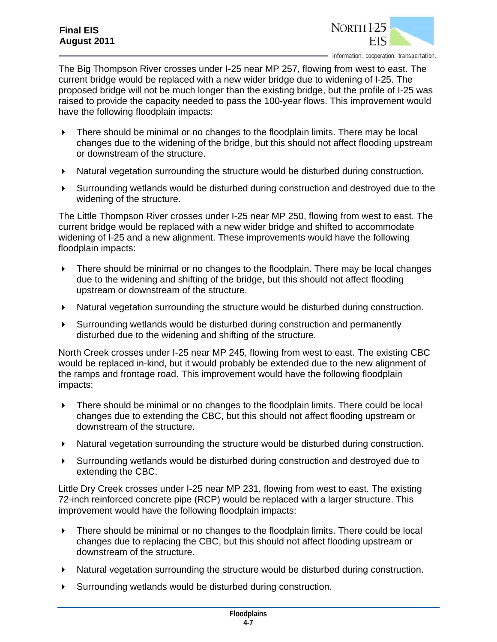

The Big Thompson River crosses under I-25 near MP 257, flowing from west to east. The current bridge would be replaced with a new wider bridge due to widening of I-25. The proposed bridge will not be much longer than the existing bridge, but the profile of I-25 was raised to provide the capacity needed to pass the 100-year flows. This improvement would have the following floodplain impacts:

- There should be minimal or no changes to the floodplain limits. There may be local changes due to the widening of the bridge, but this should not affect flooding upstream or downstream of the structure.
- Natural vegetation surrounding the structure would be disturbed during construction.
- Surrounding wetlands would be disturbed during construction and destroyed due to the widening of the structure.

The Little Thompson River crosses under I-25 near MP 250, flowing from west to east. The current bridge would be replaced with a new wider bridge and shifted to accommodate widening of I-25 and a new alignment. These improvements would have the following floodplain impacts:

- There should be minimal or no changes to the floodplain. There may be local changes due to the widening and shifting of the bridge, but this should not affect flooding upstream or downstream of the structure.
- Natural vegetation surrounding the structure would be disturbed during construction.
- Surrounding wetlands would be disturbed during construction and permanently disturbed due to the widening and shifting of the structure.

North Creek crosses under I-25 near MP 245, flowing from west to east. The existing CBC would be replaced in-kind, but it would probably be extended due to the new alignment of the ramps and frontage road. This improvement would have the following floodplain impacts:

- **There should be minimal or no changes to the floodplain limits. There could be local** changes due to extending the CBC, but this should not affect flooding upstream or downstream of the structure.
- Natural vegetation surrounding the structure would be disturbed during construction.
- Surrounding wetlands would be disturbed during construction and destroyed due to extending the CBC.

Little Dry Creek crosses under I-25 near MP 231, flowing from west to east. The existing 72-inch reinforced concrete pipe (RCP) would be replaced with a larger structure. This improvement would have the following floodplain impacts:

- **FILT** There should be minimal or no changes to the floodplain limits. There could be local changes due to replacing the CBC, but this should not affect flooding upstream or downstream of the structure.
- Natural vegetation surrounding the structure would be disturbed during construction.
- Surrounding wetlands would be disturbed during construction.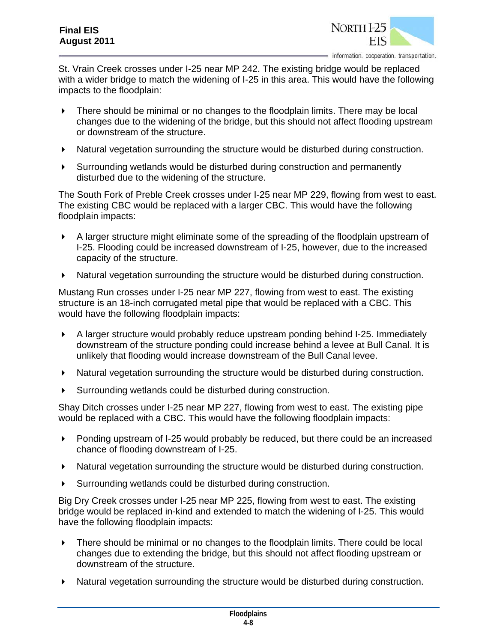

St. Vrain Creek crosses under I-25 near MP 242. The existing bridge would be replaced with a wider bridge to match the widening of I-25 in this area. This would have the following impacts to the floodplain:

- There should be minimal or no changes to the floodplain limits. There may be local changes due to the widening of the bridge, but this should not affect flooding upstream or downstream of the structure.
- Natural vegetation surrounding the structure would be disturbed during construction.
- Surrounding wetlands would be disturbed during construction and permanently disturbed due to the widening of the structure.

The South Fork of Preble Creek crosses under I-25 near MP 229, flowing from west to east. The existing CBC would be replaced with a larger CBC. This would have the following floodplain impacts:

- A larger structure might eliminate some of the spreading of the floodplain upstream of I-25. Flooding could be increased downstream of I-25, however, due to the increased capacity of the structure.
- Natural vegetation surrounding the structure would be disturbed during construction.

Mustang Run crosses under I-25 near MP 227, flowing from west to east. The existing structure is an 18-inch corrugated metal pipe that would be replaced with a CBC. This would have the following floodplain impacts:

- A larger structure would probably reduce upstream ponding behind I-25. Immediately downstream of the structure ponding could increase behind a levee at Bull Canal. It is unlikely that flooding would increase downstream of the Bull Canal levee.
- Natural vegetation surrounding the structure would be disturbed during construction.
- Surrounding wetlands could be disturbed during construction.

Shay Ditch crosses under I-25 near MP 227, flowing from west to east. The existing pipe would be replaced with a CBC. This would have the following floodplain impacts:

- Ponding upstream of I-25 would probably be reduced, but there could be an increased chance of flooding downstream of I-25.
- Natural vegetation surrounding the structure would be disturbed during construction.
- Surrounding wetlands could be disturbed during construction.

Big Dry Creek crosses under I-25 near MP 225, flowing from west to east. The existing bridge would be replaced in-kind and extended to match the widening of I-25. This would have the following floodplain impacts:

- There should be minimal or no changes to the floodplain limits. There could be local changes due to extending the bridge, but this should not affect flooding upstream or downstream of the structure.
- Natural vegetation surrounding the structure would be disturbed during construction.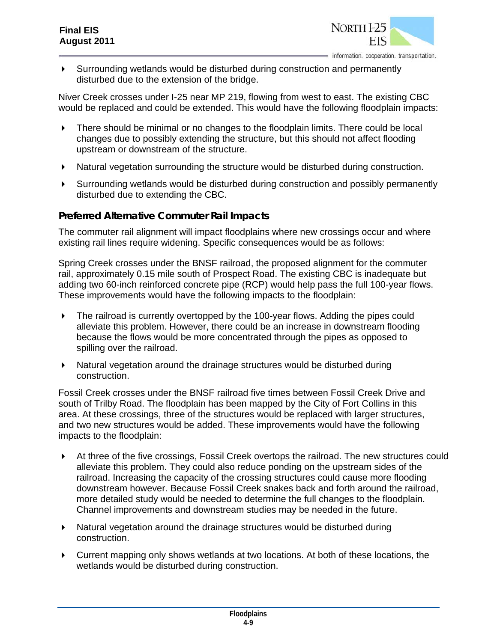

 Surrounding wetlands would be disturbed during construction and permanently disturbed due to the extension of the bridge.

Niver Creek crosses under I-25 near MP 219, flowing from west to east. The existing CBC would be replaced and could be extended. This would have the following floodplain impacts:

- There should be minimal or no changes to the floodplain limits. There could be local changes due to possibly extending the structure, but this should not affect flooding upstream or downstream of the structure.
- Natural vegetation surrounding the structure would be disturbed during construction.
- Surrounding wetlands would be disturbed during construction and possibly permanently disturbed due to extending the CBC.

#### *Preferred Alternative Commuter Rail Impacts*

The commuter rail alignment will impact floodplains where new crossings occur and where existing rail lines require widening. Specific consequences would be as follows:

Spring Creek crosses under the BNSF railroad, the proposed alignment for the commuter rail, approximately 0.15 mile south of Prospect Road. The existing CBC is inadequate but adding two 60-inch reinforced concrete pipe (RCP) would help pass the full 100-year flows. These improvements would have the following impacts to the floodplain:

- The railroad is currently overtopped by the 100-year flows. Adding the pipes could alleviate this problem. However, there could be an increase in downstream flooding because the flows would be more concentrated through the pipes as opposed to spilling over the railroad.
- Natural vegetation around the drainage structures would be disturbed during construction.

Fossil Creek crosses under the BNSF railroad five times between Fossil Creek Drive and south of Trilby Road. The floodplain has been mapped by the City of Fort Collins in this area. At these crossings, three of the structures would be replaced with larger structures, and two new structures would be added. These improvements would have the following impacts to the floodplain:

- At three of the five crossings, Fossil Creek overtops the railroad. The new structures could alleviate this problem. They could also reduce ponding on the upstream sides of the railroad. Increasing the capacity of the crossing structures could cause more flooding downstream however. Because Fossil Creek snakes back and forth around the railroad, more detailed study would be needed to determine the full changes to the floodplain. Channel improvements and downstream studies may be needed in the future.
- Natural vegetation around the drainage structures would be disturbed during construction.
- Current mapping only shows wetlands at two locations. At both of these locations, the wetlands would be disturbed during construction.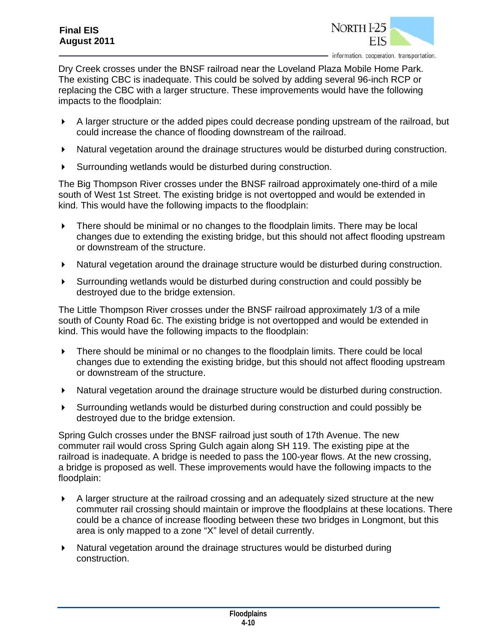

Dry Creek crosses under the BNSF railroad near the Loveland Plaza Mobile Home Park. The existing CBC is inadequate. This could be solved by adding several 96-inch RCP or replacing the CBC with a larger structure. These improvements would have the following impacts to the floodplain:

- A larger structure or the added pipes could decrease ponding upstream of the railroad, but could increase the chance of flooding downstream of the railroad.
- Natural vegetation around the drainage structures would be disturbed during construction.
- Surrounding wetlands would be disturbed during construction.

The Big Thompson River crosses under the BNSF railroad approximately one-third of a mile south of West 1st Street. The existing bridge is not overtopped and would be extended in kind. This would have the following impacts to the floodplain:

- There should be minimal or no changes to the floodplain limits. There may be local changes due to extending the existing bridge, but this should not affect flooding upstream or downstream of the structure.
- Natural vegetation around the drainage structure would be disturbed during construction.
- Surrounding wetlands would be disturbed during construction and could possibly be destroyed due to the bridge extension.

The Little Thompson River crosses under the BNSF railroad approximately 1/3 of a mile south of County Road 6c. The existing bridge is not overtopped and would be extended in kind. This would have the following impacts to the floodplain:

- **There should be minimal or no changes to the floodplain limits. There could be local** changes due to extending the existing bridge, but this should not affect flooding upstream or downstream of the structure.
- Natural vegetation around the drainage structure would be disturbed during construction.
- Surrounding wetlands would be disturbed during construction and could possibly be destroyed due to the bridge extension.

Spring Gulch crosses under the BNSF railroad just south of 17th Avenue. The new commuter rail would cross Spring Gulch again along SH 119. The existing pipe at the railroad is inadequate. A bridge is needed to pass the 100-year flows. At the new crossing, a bridge is proposed as well. These improvements would have the following impacts to the floodplain:

- A larger structure at the railroad crossing and an adequately sized structure at the new commuter rail crossing should maintain or improve the floodplains at these locations. There could be a chance of increase flooding between these two bridges in Longmont, but this area is only mapped to a zone "X" level of detail currently.
- Natural vegetation around the drainage structures would be disturbed during construction.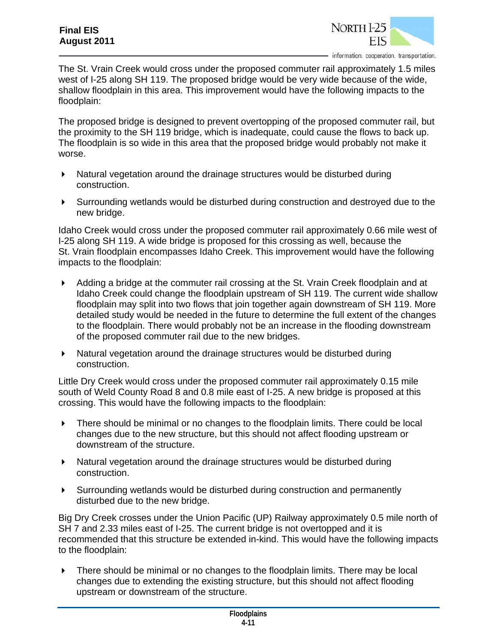

The St. Vrain Creek would cross under the proposed commuter rail approximately 1.5 miles west of I-25 along SH 119. The proposed bridge would be very wide because of the wide, shallow floodplain in this area. This improvement would have the following impacts to the floodplain:

The proposed bridge is designed to prevent overtopping of the proposed commuter rail, but the proximity to the SH 119 bridge, which is inadequate, could cause the flows to back up. The floodplain is so wide in this area that the proposed bridge would probably not make it worse.

- Natural vegetation around the drainage structures would be disturbed during construction.
- Surrounding wetlands would be disturbed during construction and destroyed due to the new bridge.

Idaho Creek would cross under the proposed commuter rail approximately 0.66 mile west of I-25 along SH 119. A wide bridge is proposed for this crossing as well, because the St. Vrain floodplain encompasses Idaho Creek. This improvement would have the following impacts to the floodplain:

- Adding a bridge at the commuter rail crossing at the St. Vrain Creek floodplain and at Idaho Creek could change the floodplain upstream of SH 119. The current wide shallow floodplain may split into two flows that join together again downstream of SH 119. More detailed study would be needed in the future to determine the full extent of the changes to the floodplain. There would probably not be an increase in the flooding downstream of the proposed commuter rail due to the new bridges.
- Natural vegetation around the drainage structures would be disturbed during construction.

Little Dry Creek would cross under the proposed commuter rail approximately 0.15 mile south of Weld County Road 8 and 0.8 mile east of I-25. A new bridge is proposed at this crossing. This would have the following impacts to the floodplain:

- **There should be minimal or no changes to the floodplain limits. There could be local** changes due to the new structure, but this should not affect flooding upstream or downstream of the structure.
- Natural vegetation around the drainage structures would be disturbed during construction.
- Surrounding wetlands would be disturbed during construction and permanently disturbed due to the new bridge.

Big Dry Creek crosses under the Union Pacific (UP) Railway approximately 0.5 mile north of SH 7 and 2.33 miles east of I-25. The current bridge is not overtopped and it is recommended that this structure be extended in-kind. This would have the following impacts to the floodplain:

**Fig. 2** There should be minimal or no changes to the floodplain limits. There may be local changes due to extending the existing structure, but this should not affect flooding upstream or downstream of the structure.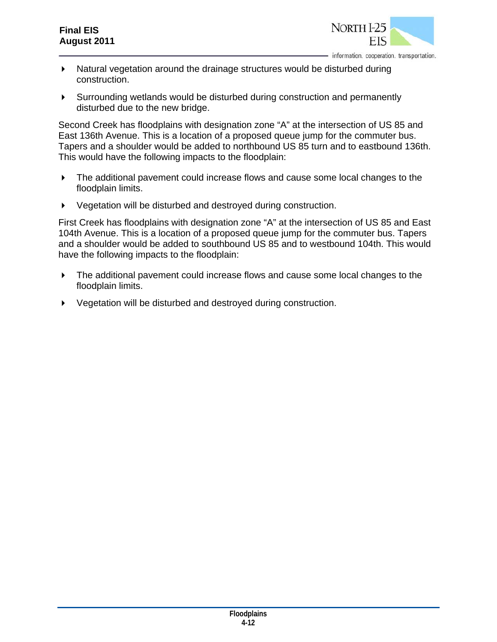

- Natural vegetation around the drainage structures would be disturbed during construction.
- Surrounding wetlands would be disturbed during construction and permanently disturbed due to the new bridge.

Second Creek has floodplains with designation zone "A" at the intersection of US 85 and East 136th Avenue. This is a location of a proposed queue jump for the commuter bus. Tapers and a shoulder would be added to northbound US 85 turn and to eastbound 136th. This would have the following impacts to the floodplain:

- The additional pavement could increase flows and cause some local changes to the floodplain limits.
- Vegetation will be disturbed and destroyed during construction.

First Creek has floodplains with designation zone "A" at the intersection of US 85 and East 104th Avenue. This is a location of a proposed queue jump for the commuter bus. Tapers and a shoulder would be added to southbound US 85 and to westbound 104th. This would have the following impacts to the floodplain:

- The additional pavement could increase flows and cause some local changes to the floodplain limits.
- Vegetation will be disturbed and destroyed during construction.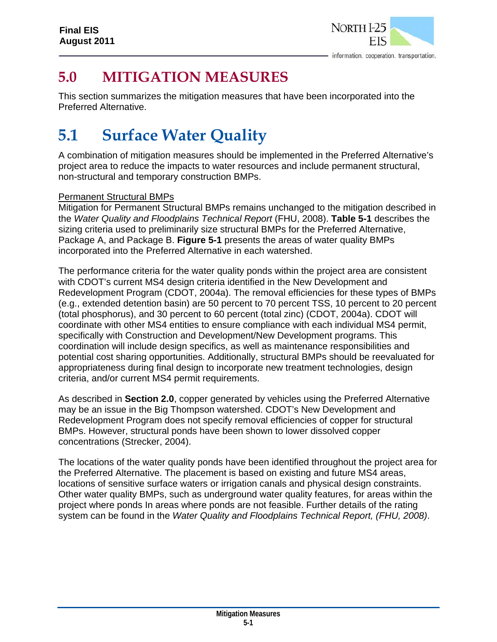

## **5.0 MITIGATION MEASURES**

This section summarizes the mitigation measures that have been incorporated into the Preferred Alternative.

# **5.1 Surface Water Quality**

A combination of mitigation measures should be implemented in the Preferred Alternative's project area to reduce the impacts to water resources and include permanent structural, non-structural and temporary construction BMPs.

### Permanent Structural BMPs

Mitigation for Permanent Structural BMPs remains unchanged to the mitigation described in the *Water Quality and Floodplains Technical Report* (FHU, 2008). **Table 5-1** describes the sizing criteria used to preliminarily size structural BMPs for the Preferred Alternative, Package A, and Package B. **Figure 5-1** presents the areas of water quality BMPs incorporated into the Preferred Alternative in each watershed.

The performance criteria for the water quality ponds within the project area are consistent with CDOT's current MS4 design criteria identified in the New Development and Redevelopment Program (CDOT, 2004a). The removal efficiencies for these types of BMPs (e.g., extended detention basin) are 50 percent to 70 percent TSS, 10 percent to 20 percent (total phosphorus), and 30 percent to 60 percent (total zinc) (CDOT, 2004a). CDOT will coordinate with other MS4 entities to ensure compliance with each individual MS4 permit, specifically with Construction and Development/New Development programs. This coordination will include design specifics, as well as maintenance responsibilities and potential cost sharing opportunities. Additionally, structural BMPs should be reevaluated for appropriateness during final design to incorporate new treatment technologies, design criteria, and/or current MS4 permit requirements.

As described in **Section 2.0**, copper generated by vehicles using the Preferred Alternative may be an issue in the Big Thompson watershed. CDOT's New Development and Redevelopment Program does not specify removal efficiencies of copper for structural BMPs. However, structural ponds have been shown to lower dissolved copper concentrations (Strecker, 2004).

The locations of the water quality ponds have been identified throughout the project area for the Preferred Alternative. The placement is based on existing and future MS4 areas, locations of sensitive surface waters or irrigation canals and physical design constraints. Other water quality BMPs, such as underground water quality features, for areas within the project where ponds In areas where ponds are not feasible. Further details of the rating system can be found in the *Water Quality and Floodplains Technical Report, (FHU, 2008)*.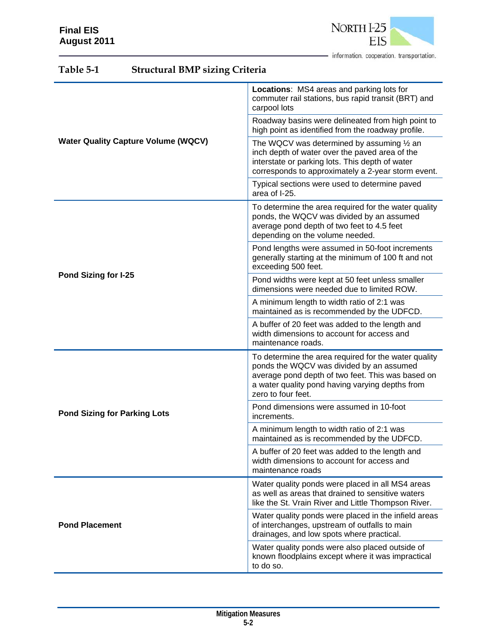NORTH I-25 **EIS** 

| 1 aple 5-1<br>Structural BMP sizing Criteria |                                                                                                                                                                                                                                |  |  |  |  |
|----------------------------------------------|--------------------------------------------------------------------------------------------------------------------------------------------------------------------------------------------------------------------------------|--|--|--|--|
|                                              | Locations: MS4 areas and parking lots for<br>commuter rail stations, bus rapid transit (BRT) and<br>carpool lots                                                                                                               |  |  |  |  |
|                                              | Roadway basins were delineated from high point to<br>high point as identified from the roadway profile.                                                                                                                        |  |  |  |  |
| <b>Water Quality Capture Volume (WQCV)</b>   | The WQCV was determined by assuming $\frac{1}{2}$ an<br>inch depth of water over the paved area of the<br>interstate or parking lots. This depth of water<br>corresponds to approximately a 2-year storm event.                |  |  |  |  |
|                                              | Typical sections were used to determine paved<br>area of I-25.                                                                                                                                                                 |  |  |  |  |
|                                              | To determine the area required for the water quality<br>ponds, the WQCV was divided by an assumed<br>average pond depth of two feet to 4.5 feet<br>depending on the volume needed.                                             |  |  |  |  |
|                                              | Pond lengths were assumed in 50-foot increments<br>generally starting at the minimum of 100 ft and not<br>exceeding 500 feet.                                                                                                  |  |  |  |  |
| <b>Pond Sizing for I-25</b>                  | Pond widths were kept at 50 feet unless smaller<br>dimensions were needed due to limited ROW.                                                                                                                                  |  |  |  |  |
|                                              | A minimum length to width ratio of 2:1 was<br>maintained as is recommended by the UDFCD.                                                                                                                                       |  |  |  |  |
|                                              | A buffer of 20 feet was added to the length and<br>width dimensions to account for access and<br>maintenance roads.                                                                                                            |  |  |  |  |
|                                              | To determine the area required for the water quality<br>ponds the WQCV was divided by an assumed<br>average pond depth of two feet. This was based on<br>a water quality pond having varying depths from<br>zero to four feet. |  |  |  |  |
| <b>Pond Sizing for Parking Lots</b>          | Pond dimensions were assumed in 10-foot<br>increments.                                                                                                                                                                         |  |  |  |  |
|                                              | A minimum length to width ratio of 2:1 was<br>maintained as is recommended by the UDFCD.                                                                                                                                       |  |  |  |  |
|                                              | A buffer of 20 feet was added to the length and<br>width dimensions to account for access and<br>maintenance roads                                                                                                             |  |  |  |  |
|                                              | Water quality ponds were placed in all MS4 areas<br>as well as areas that drained to sensitive waters<br>like the St. Vrain River and Little Thompson River.                                                                   |  |  |  |  |
| <b>Pond Placement</b>                        | Water quality ponds were placed in the infield areas<br>of interchanges, upstream of outfalls to main<br>drainages, and low spots where practical.                                                                             |  |  |  |  |
|                                              | Water quality ponds were also placed outside of<br>known floodplains except where it was impractical<br>to do so.                                                                                                              |  |  |  |  |

## **Table 5-1 Structural BMP sizing Criteria**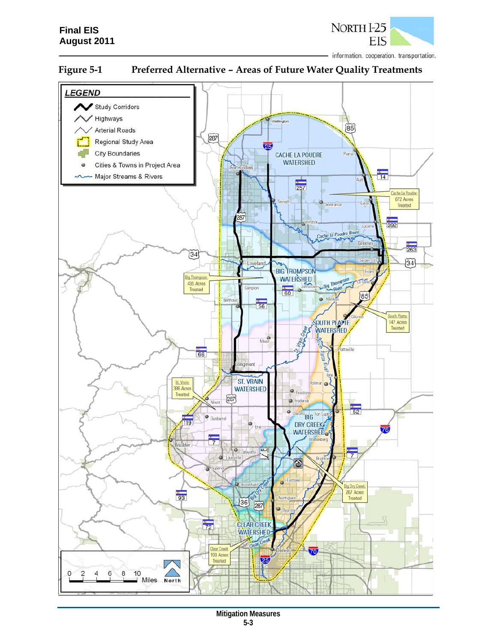



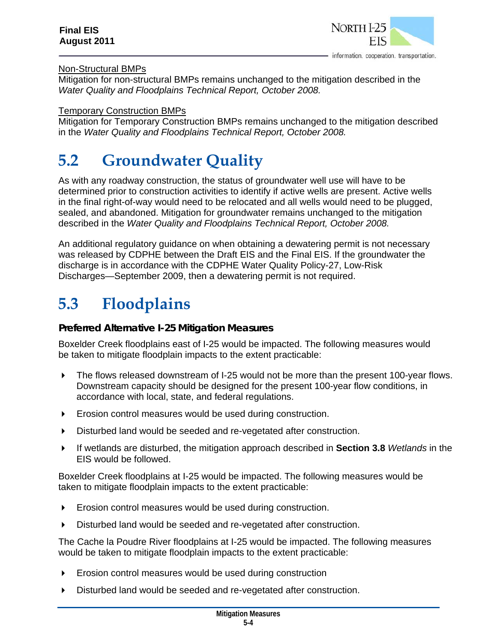

#### Non-Structural BMPs

Mitigation for non-structural BMPs remains unchanged to the mitigation described in the *Water Quality and Floodplains Technical Report, October 2008.* 

#### Temporary Construction BMPs

Mitigation for Temporary Construction BMPs remains unchanged to the mitigation described in the *Water Quality and Floodplains Technical Report, October 2008.* 

# **5.2 Groundwater Quality**

As with any roadway construction, the status of groundwater well use will have to be determined prior to construction activities to identify if active wells are present. Active wells in the final right-of-way would need to be relocated and all wells would need to be plugged, sealed, and abandoned. Mitigation for groundwater remains unchanged to the mitigation described in the *Water Quality and Floodplains Technical Report, October 2008.* 

An additional regulatory guidance on when obtaining a dewatering permit is not necessary was released by CDPHE between the Draft EIS and the Final EIS. If the groundwater the discharge is in accordance with the CDPHE Water Quality Policy-27, Low-Risk Discharges—September 2009, then a dewatering permit is not required.

# **5.3 Floodplains**

#### *Preferred Alternative I-25 Mitigation Measures*

Boxelder Creek floodplains east of I-25 would be impacted. The following measures would be taken to mitigate floodplain impacts to the extent practicable:

- ▶ The flows released downstream of I-25 would not be more than the present 100-year flows. Downstream capacity should be designed for the present 100-year flow conditions, in accordance with local, state, and federal regulations.
- **Erosion control measures would be used during construction.**
- Disturbed land would be seeded and re-vegetated after construction.
- If wetlands are disturbed, the mitigation approach described in **Section 3.8** *Wetlands* in the EIS would be followed.

Boxelder Creek floodplains at I-25 would be impacted. The following measures would be taken to mitigate floodplain impacts to the extent practicable:

- **Erosion control measures would be used during construction.**
- Disturbed land would be seeded and re-vegetated after construction.

The Cache la Poudre River floodplains at I-25 would be impacted. The following measures would be taken to mitigate floodplain impacts to the extent practicable:

- Erosion control measures would be used during construction
- Disturbed land would be seeded and re-vegetated after construction.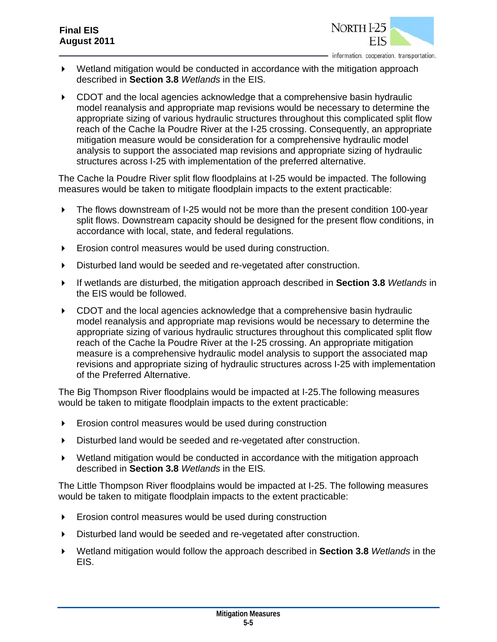

- Wetland mitigation would be conducted in accordance with the mitigation approach described in **Section 3.8** *Wetlands* in the EIS*.*
- CDOT and the local agencies acknowledge that a comprehensive basin hydraulic model reanalysis and appropriate map revisions would be necessary to determine the appropriate sizing of various hydraulic structures throughout this complicated split flow reach of the Cache la Poudre River at the I-25 crossing. Consequently, an appropriate mitigation measure would be consideration for a comprehensive hydraulic model analysis to support the associated map revisions and appropriate sizing of hydraulic structures across I-25 with implementation of the preferred alternative.

The Cache la Poudre River split flow floodplains at I-25 would be impacted. The following measures would be taken to mitigate floodplain impacts to the extent practicable:

- The flows downstream of I-25 would not be more than the present condition 100-year split flows. Downstream capacity should be designed for the present flow conditions, in accordance with local, state, and federal regulations.
- Erosion control measures would be used during construction.
- Disturbed land would be seeded and re-vegetated after construction.
- If wetlands are disturbed, the mitigation approach described in **Section 3.8** *Wetlands* in the EIS would be followed.
- CDOT and the local agencies acknowledge that a comprehensive basin hydraulic model reanalysis and appropriate map revisions would be necessary to determine the appropriate sizing of various hydraulic structures throughout this complicated split flow reach of the Cache la Poudre River at the I-25 crossing. An appropriate mitigation measure is a comprehensive hydraulic model analysis to support the associated map revisions and appropriate sizing of hydraulic structures across I-25 with implementation of the Preferred Alternative.

The Big Thompson River floodplains would be impacted at I-25.The following measures would be taken to mitigate floodplain impacts to the extent practicable:

- **E** Frosion control measures would be used during construction
- Disturbed land would be seeded and re-vegetated after construction.
- Wetland mitigation would be conducted in accordance with the mitigation approach described in **Section 3.8** *Wetlands* in the EIS*.*

The Little Thompson River floodplains would be impacted at I-25. The following measures would be taken to mitigate floodplain impacts to the extent practicable:

- **Example 2** Erosion control measures would be used during construction
- Disturbed land would be seeded and re-vegetated after construction.
- Wetland mitigation would follow the approach described in **Section 3.8** *Wetlands* in the EIS.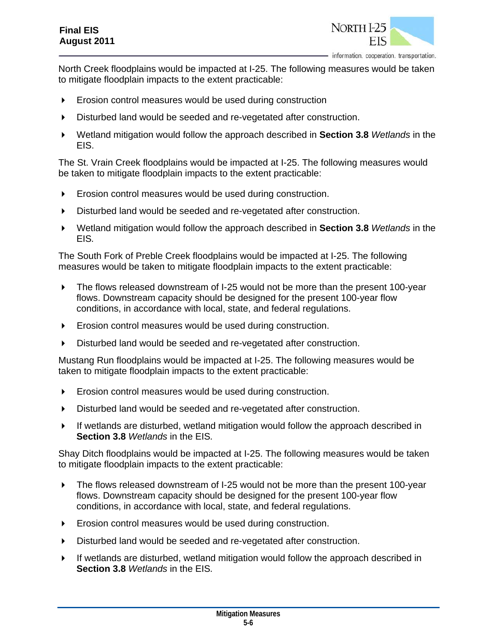

North Creek floodplains would be impacted at I-25. The following measures would be taken to mitigate floodplain impacts to the extent practicable:

- **Example 2** Erosion control measures would be used during construction
- Disturbed land would be seeded and re-vegetated after construction.
- Wetland mitigation would follow the approach described in **Section 3.8** *Wetlands* in the EIS.

The St. Vrain Creek floodplains would be impacted at I-25. The following measures would be taken to mitigate floodplain impacts to the extent practicable:

- **Example 2** Erosion control measures would be used during construction.
- Disturbed land would be seeded and re-vegetated after construction.
- Wetland mitigation would follow the approach described in **Section 3.8** *Wetlands* in the EIS*.*

The South Fork of Preble Creek floodplains would be impacted at I-25. The following measures would be taken to mitigate floodplain impacts to the extent practicable:

- The flows released downstream of I-25 would not be more than the present 100-year flows. Downstream capacity should be designed for the present 100-year flow conditions, in accordance with local, state, and federal regulations.
- **Example 20** Erosion control measures would be used during construction.
- Disturbed land would be seeded and re-vegetated after construction.

Mustang Run floodplains would be impacted at I-25. The following measures would be taken to mitigate floodplain impacts to the extent practicable:

- **Example 2** Erosion control measures would be used during construction.
- Disturbed land would be seeded and re-vegetated after construction.
- $\blacktriangleright$  If wetlands are disturbed, wetland mitigation would follow the approach described in **Section 3.8** *Wetlands* in the EIS*.*

Shay Ditch floodplains would be impacted at I-25. The following measures would be taken to mitigate floodplain impacts to the extent practicable:

- The flows released downstream of I-25 would not be more than the present 100-year flows. Downstream capacity should be designed for the present 100-year flow conditions, in accordance with local, state, and federal regulations.
- Erosion control measures would be used during construction.
- Disturbed land would be seeded and re-vegetated after construction.
- $\blacktriangleright$  If wetlands are disturbed, wetland mitigation would follow the approach described in **Section 3.8** *Wetlands* in the EIS*.*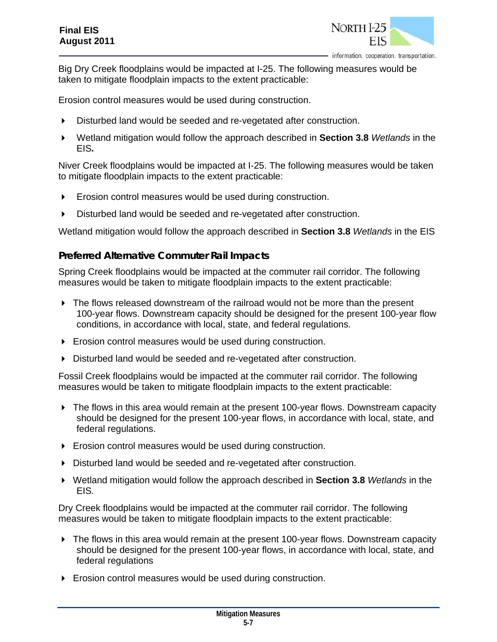

Big Dry Creek floodplains would be impacted at I-25. The following measures would be taken to mitigate floodplain impacts to the extent practicable:

Erosion control measures would be used during construction.

- Disturbed land would be seeded and re-vegetated after construction.
- Wetland mitigation would follow the approach described in **Section 3.8** *Wetlands* in the EIS*.*

Niver Creek floodplains would be impacted at I-25. The following measures would be taken to mitigate floodplain impacts to the extent practicable:

- **Example 2** Erosion control measures would be used during construction.
- Disturbed land would be seeded and re-vegetated after construction.

Wetland mitigation would follow the approach described in **Section 3.8** *Wetlands* in the EIS

#### *Preferred Alternative Commuter Rail Impacts*

Spring Creek floodplains would be impacted at the commuter rail corridor. The following measures would be taken to mitigate floodplain impacts to the extent practicable:

- The flows released downstream of the railroad would not be more than the present 100-year flows. Downstream capacity should be designed for the present 100-year flow conditions, in accordance with local, state, and federal regulations.
- **Erosion control measures would be used during construction.**
- Disturbed land would be seeded and re-vegetated after construction.

Fossil Creek floodplains would be impacted at the commuter rail corridor. The following measures would be taken to mitigate floodplain impacts to the extent practicable:

- ▶ The flows in this area would remain at the present 100-year flows. Downstream capacity should be designed for the present 100-year flows, in accordance with local, state, and federal regulations.
- **E** Frosion control measures would be used during construction.
- Disturbed land would be seeded and re-vegetated after construction.
- Wetland mitigation would follow the approach described in **Section 3.8** *Wetlands* in the EIS*.*

Dry Creek floodplains would be impacted at the commuter rail corridor. The following measures would be taken to mitigate floodplain impacts to the extent practicable:

- ▶ The flows in this area would remain at the present 100-year flows. Downstream capacity should be designed for the present 100-year flows, in accordance with local, state, and federal regulations
- **E** rosion control measures would be used during construction.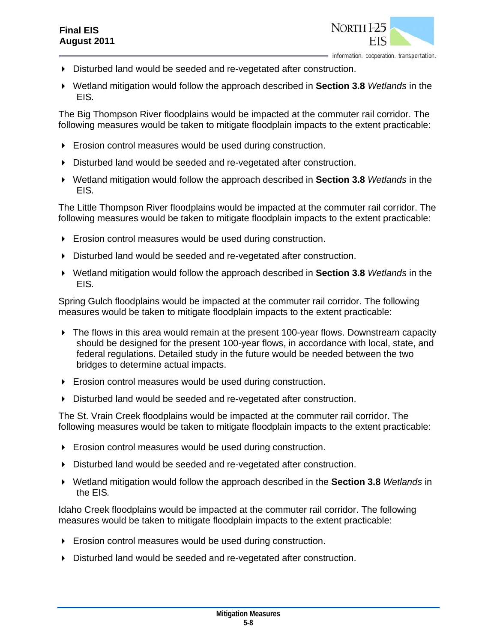

- Disturbed land would be seeded and re-vegetated after construction.
- Wetland mitigation would follow the approach described in **Section 3.8** *Wetlands* in the EIS*.*

The Big Thompson River floodplains would be impacted at the commuter rail corridor. The following measures would be taken to mitigate floodplain impacts to the extent practicable:

- Erosion control measures would be used during construction.
- Disturbed land would be seeded and re-vegetated after construction.
- Wetland mitigation would follow the approach described in **Section 3.8** *Wetlands* in the EIS*.*

The Little Thompson River floodplains would be impacted at the commuter rail corridor. The following measures would be taken to mitigate floodplain impacts to the extent practicable:

- **Erosion control measures would be used during construction.**
- Disturbed land would be seeded and re-vegetated after construction.
- Wetland mitigation would follow the approach described in **Section 3.8** *Wetlands* in the EIS*.*

Spring Gulch floodplains would be impacted at the commuter rail corridor. The following measures would be taken to mitigate floodplain impacts to the extent practicable:

- The flows in this area would remain at the present 100-year flows. Downstream capacity should be designed for the present 100-year flows, in accordance with local, state, and federal regulations. Detailed study in the future would be needed between the two bridges to determine actual impacts.
- **Erosion control measures would be used during construction.**
- Disturbed land would be seeded and re-vegetated after construction.

The St. Vrain Creek floodplains would be impacted at the commuter rail corridor. The following measures would be taken to mitigate floodplain impacts to the extent practicable:

- Erosion control measures would be used during construction.
- Disturbed land would be seeded and re-vegetated after construction.
- Wetland mitigation would follow the approach described in the **Section 3.8** *Wetlands* in the EIS*.*

Idaho Creek floodplains would be impacted at the commuter rail corridor. The following measures would be taken to mitigate floodplain impacts to the extent practicable:

- Erosion control measures would be used during construction.
- Disturbed land would be seeded and re-vegetated after construction.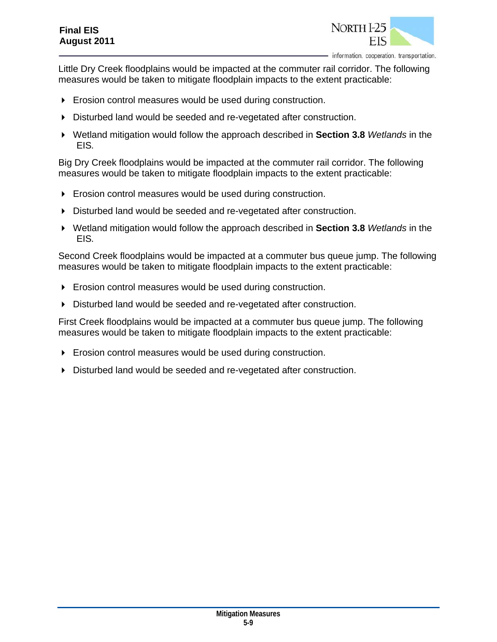

Little Dry Creek floodplains would be impacted at the commuter rail corridor. The following measures would be taken to mitigate floodplain impacts to the extent practicable:

- **Erosion control measures would be used during construction.**
- Disturbed land would be seeded and re-vegetated after construction.
- Wetland mitigation would follow the approach described in **Section 3.8** *Wetlands* in the EIS*.*

Big Dry Creek floodplains would be impacted at the commuter rail corridor. The following measures would be taken to mitigate floodplain impacts to the extent practicable:

- **Erosion control measures would be used during construction.**
- Disturbed land would be seeded and re-vegetated after construction.
- Wetland mitigation would follow the approach described in **Section 3.8** *Wetlands* in the EIS*.*

Second Creek floodplains would be impacted at a commuter bus queue jump. The following measures would be taken to mitigate floodplain impacts to the extent practicable:

- **Erosion control measures would be used during construction.**
- Disturbed land would be seeded and re-vegetated after construction.

First Creek floodplains would be impacted at a commuter bus queue jump. The following measures would be taken to mitigate floodplain impacts to the extent practicable:

- **Erosion control measures would be used during construction.**
- Disturbed land would be seeded and re-vegetated after construction.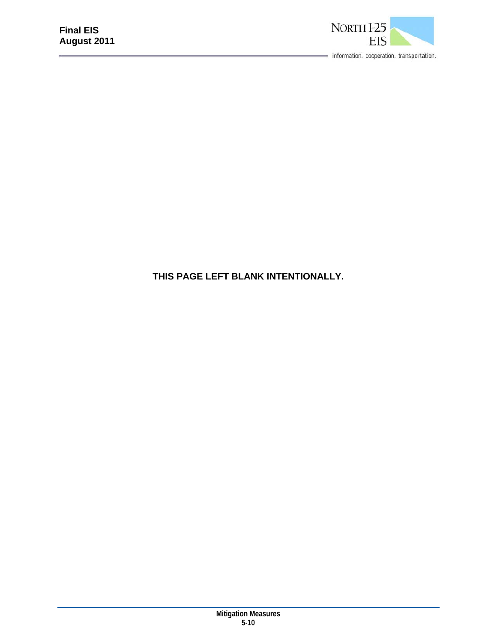

## **THIS PAGE LEFT BLANK INTENTIONALLY.**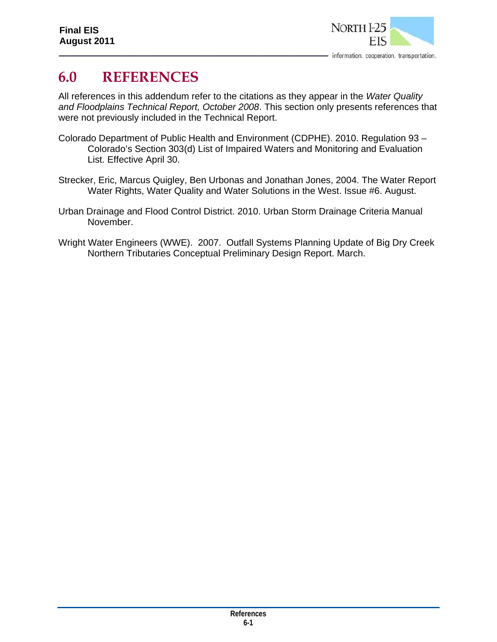

## **6.0 REFERENCES**

All references in this addendum refer to the citations as they appear in the *Water Quality and Floodplains Technical Report, October 2008*. This section only presents references that were not previously included in the Technical Report.

- Colorado Department of Public Health and Environment (CDPHE). 2010. Regulation 93 Colorado's Section 303(d) List of Impaired Waters and Monitoring and Evaluation List. Effective April 30.
- Strecker, Eric, Marcus Quigley, Ben Urbonas and Jonathan Jones, 2004. The Water Report Water Rights, Water Quality and Water Solutions in the West. Issue #6. August.
- Urban Drainage and Flood Control District. 2010. Urban Storm Drainage Criteria Manual November.
- Wright Water Engineers (WWE). 2007. Outfall Systems Planning Update of Big Dry Creek Northern Tributaries Conceptual Preliminary Design Report. March.